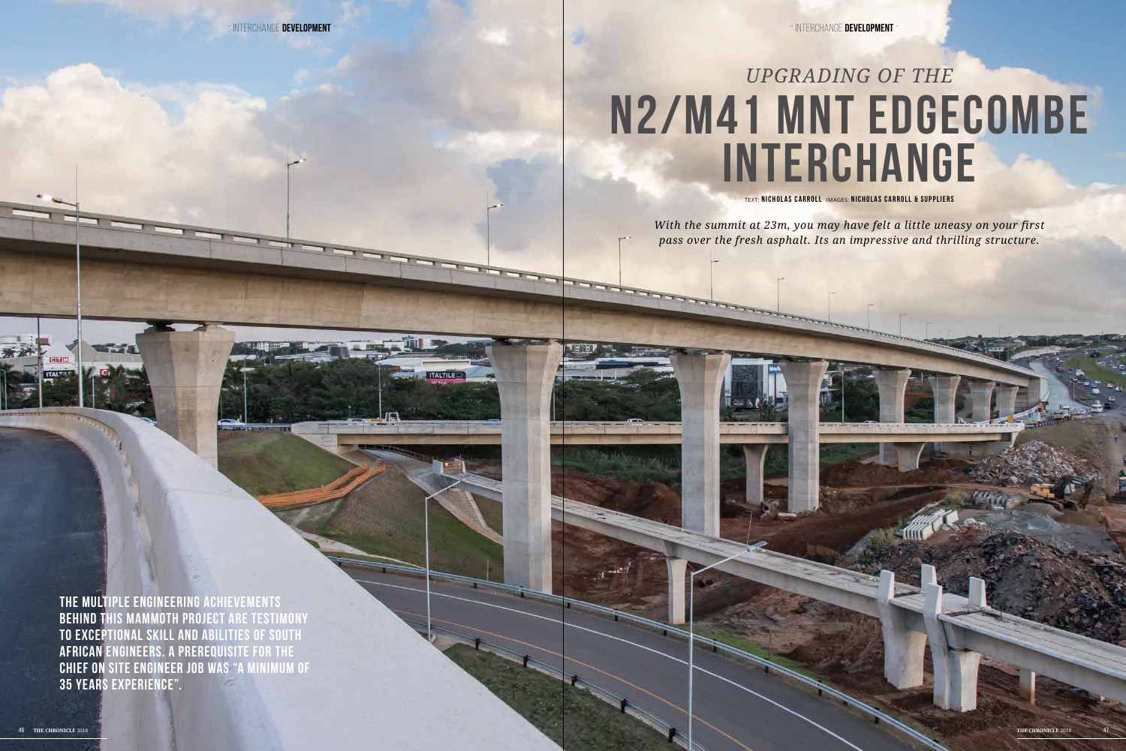TEXT: **NICHOLAS CARROLL** IMAGES: **NICHOLAS CARROLL & SUP PLIERS**

## **N2/M41 Mnt Edgecombe Interchange** *Upgrading of the*

*With the summit at 23m, you may have felt a little uneasy on your first pass over the fresh asphalt. Its an impressive and thrilling structure.*

**The multiple engineering achievements behind this mammoth project are testimony to exceptional skill and abilities of South African engineers. A prerequisite for the chief on site engineer job was "a minimum of 35 years experience".**

- interchange **DEVELOPMENT** - - interchange **DEVELOPMENT** -

**ALCOHOL:**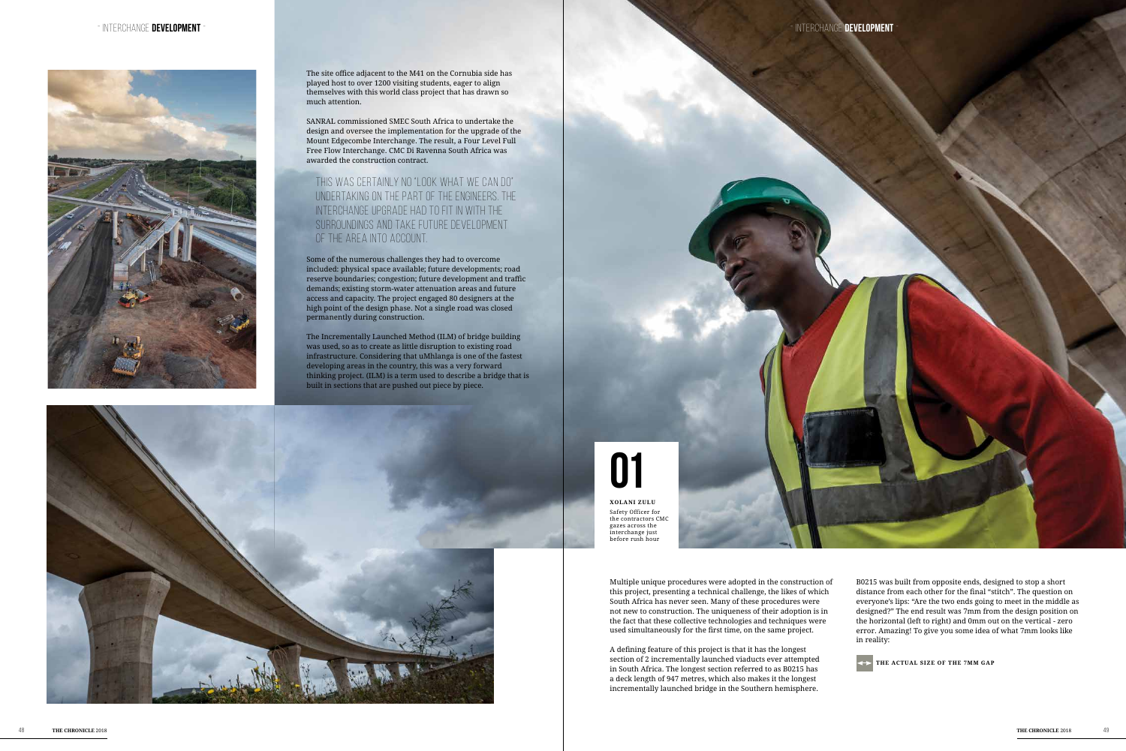Multiple unique procedures were adopted in the construction of this project, presenting a technical challenge, the likes of which South Africa has never seen. Many of these procedures were not new to construction. The uniqueness of their adoption is in the fact that these collective technologies and techniques were used simultaneously for the first time, on the same project.

A defining feature of this project is that it has the longest section of 2 incrementally launched viaducts ever attempted in South Africa. The longest section referred to as B0215 has a deck length of 947 metres, which also makes it the longest incrementally launched bridge in the Southern hemisphere.

B0215 was built from opposite ends, designed to stop a short distance from each other for the final "stitch". The question on everyone's lips: "Are the two ends going to meet in the middle as designed?" The end result was 7mm from the design position on the horizontal (left to right) and 0mm out on the vertical - zero error. Amazing! To give you some idea of what 7mm looks like in reality:





The site office adjacent to the M41 on the Cornubia side has played host to over 1200 visiting students, eager to align themselves with this world class project that has drawn so much attention.

SANRAL commissioned SMEC South Africa to undertake the design and oversee the implementation for the upgrade of the Mount Edgecombe Interchange. The result, a Four Level Full Free Flow Interchange. CMC Di Ravenna South Africa was awarded the construction contract.

## This was certainly no "look what we can do" undertaking on the part of the engineers. The interchange upgrade had to fit in with the surroundings and take future development of the area into account.

Some of the numerous challenges they had to overcome included: physical space available; future developments; road reserve boundaries; congestion; future development and traffic demands; existing storm-water attenuation areas and future access and capacity. The project engaged 80 designers at the high point of the design phase. Not a single road was closed permanently during construction.

The Incrementally Launched Method (ILM) of bridge building was used, so as to create as little disruption to existing road infrastructure. Considering that uMhlanga is one of the fastest developing areas in the country, this was a very forward thinking project. (ILM) is a term used to describe a bridge that is built in sections that are pushed out piece by piece.



## **01**

**Xolani Zulu** Safety Officer for the contractors CMC gazes across the interchange just before rush hour

**the actual size of the 7mm gap**